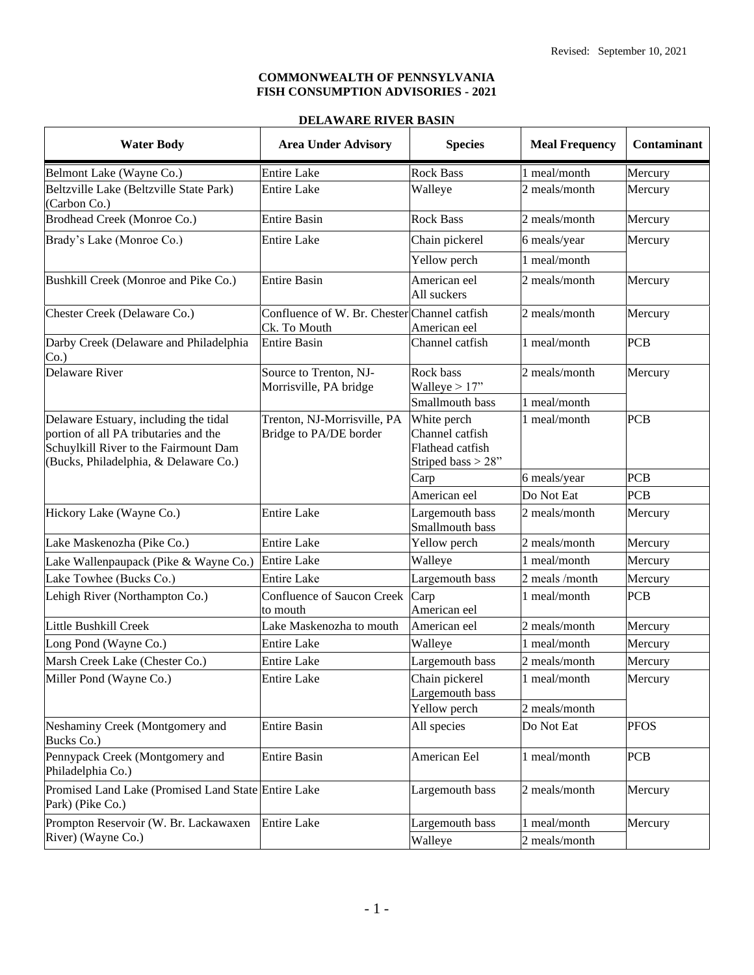#### **COMMONWEALTH OF PENNSYLVANIA FISH CONSUMPTION ADVISORIES - 2021**

## **DELAWARE RIVER BASIN**

| <b>Water Body</b>                                                                                                                                                | <b>Area Under Advisory</b>                                   | <b>Species</b>                                                           | <b>Meal Frequency</b>         | Contaminant |
|------------------------------------------------------------------------------------------------------------------------------------------------------------------|--------------------------------------------------------------|--------------------------------------------------------------------------|-------------------------------|-------------|
| Belmont Lake (Wayne Co.)                                                                                                                                         | <b>Entire Lake</b>                                           | <b>Rock Bass</b>                                                         | 1 meal/month                  | Mercury     |
| Beltzville Lake (Beltzville State Park)<br>(Carbon Co.)                                                                                                          | <b>Entire Lake</b>                                           | Walleye                                                                  | 2 meals/month                 | Mercury     |
| Brodhead Creek (Monroe Co.)                                                                                                                                      | <b>Entire Basin</b>                                          | <b>Rock Bass</b>                                                         | 2 meals/month                 | Mercury     |
| Brady's Lake (Monroe Co.)                                                                                                                                        | <b>Entire Lake</b>                                           | Chain pickerel                                                           | 6 meals/year                  | Mercury     |
|                                                                                                                                                                  |                                                              | Yellow perch                                                             | 1 meal/month                  |             |
| Bushkill Creek (Monroe and Pike Co.)                                                                                                                             | <b>Entire Basin</b>                                          | American eel<br>All suckers                                              | 2 meals/month                 | Mercury     |
| Chester Creek (Delaware Co.)                                                                                                                                     | Confluence of W. Br. Chester Channel catfish<br>Ck. To Mouth | American eel                                                             | 2 meals/month                 | Mercury     |
| Darby Creek (Delaware and Philadelphia<br>Co.                                                                                                                    | <b>Entire Basin</b>                                          | Channel catfish                                                          | 1 meal/month                  | <b>PCB</b>  |
| <b>Delaware River</b>                                                                                                                                            | Source to Trenton, NJ-<br>Morrisville, PA bridge             | Rock bass<br>Walleye $> 17$ "                                            | 2 meals/month                 | Mercury     |
|                                                                                                                                                                  |                                                              | Smallmouth bass                                                          | 1 meal/month                  |             |
| Delaware Estuary, including the tidal<br>portion of all PA tributaries and the<br>Schuylkill River to the Fairmount Dam<br>(Bucks, Philadelphia, & Delaware Co.) | Trenton, NJ-Morrisville, PA<br>Bridge to PA/DE border        | White perch<br>Channel catfish<br>Flathead catfish<br>Striped bass > 28" | 1 meal/month                  | <b>PCB</b>  |
|                                                                                                                                                                  |                                                              | Carp                                                                     | 6 meals/year                  | <b>PCB</b>  |
|                                                                                                                                                                  |                                                              | American eel                                                             | Do Not Eat                    | <b>PCB</b>  |
| Hickory Lake (Wayne Co.)                                                                                                                                         | <b>Entire Lake</b>                                           | Largemouth bass<br>Smallmouth bass                                       | 2 meals/month                 | Mercury     |
| Lake Maskenozha (Pike Co.)                                                                                                                                       | <b>Entire Lake</b>                                           | Yellow perch                                                             | 2 meals/month                 | Mercury     |
| Lake Wallenpaupack (Pike & Wayne Co.)                                                                                                                            | <b>Entire Lake</b>                                           | Walleye                                                                  | 1 meal/month                  | Mercury     |
| Lake Towhee (Bucks Co.)                                                                                                                                          | <b>Entire Lake</b>                                           | Largemouth bass                                                          | 2 meals /month                | Mercury     |
| Lehigh River (Northampton Co.)                                                                                                                                   | <b>Confluence of Saucon Creek</b><br>to mouth                | Carp<br>American eel                                                     | 1 meal/month                  | <b>PCB</b>  |
| Little Bushkill Creek                                                                                                                                            | Lake Maskenozha to mouth                                     | American eel                                                             | 2 meals/month                 | Mercury     |
| Long Pond (Wayne Co.)                                                                                                                                            | <b>Entire Lake</b>                                           | Walleye                                                                  | 1 meal/month                  | Mercury     |
| Marsh Creek Lake (Chester Co.)                                                                                                                                   | <b>Entire Lake</b>                                           | Largemouth bass                                                          | 2 meals/month                 | Mercury     |
| Miller Pond (Wayne Co.)                                                                                                                                          | <b>Entire Lake</b>                                           | Chain pickerel<br>Largemouth bass<br>Yellow perch                        | 1 meal/month<br>2 meals/month | Mercury     |
| Neshaminy Creek (Montgomery and<br>Bucks Co.)                                                                                                                    | <b>Entire Basin</b>                                          | All species                                                              | Do Not Eat                    | <b>PFOS</b> |
| Pennypack Creek (Montgomery and<br>Philadelphia Co.)                                                                                                             | <b>Entire Basin</b>                                          | American Eel                                                             | 1 meal/month                  | <b>PCB</b>  |
| Promised Land Lake (Promised Land State Entire Lake<br>Park) (Pike Co.)                                                                                          |                                                              | Largemouth bass                                                          | 2 meals/month                 | Mercury     |
| Prompton Reservoir (W. Br. Lackawaxen<br>River) (Wayne Co.)                                                                                                      | <b>Entire Lake</b>                                           | Largemouth bass<br>Walleye                                               | 1 meal/month<br>2 meals/month | Mercury     |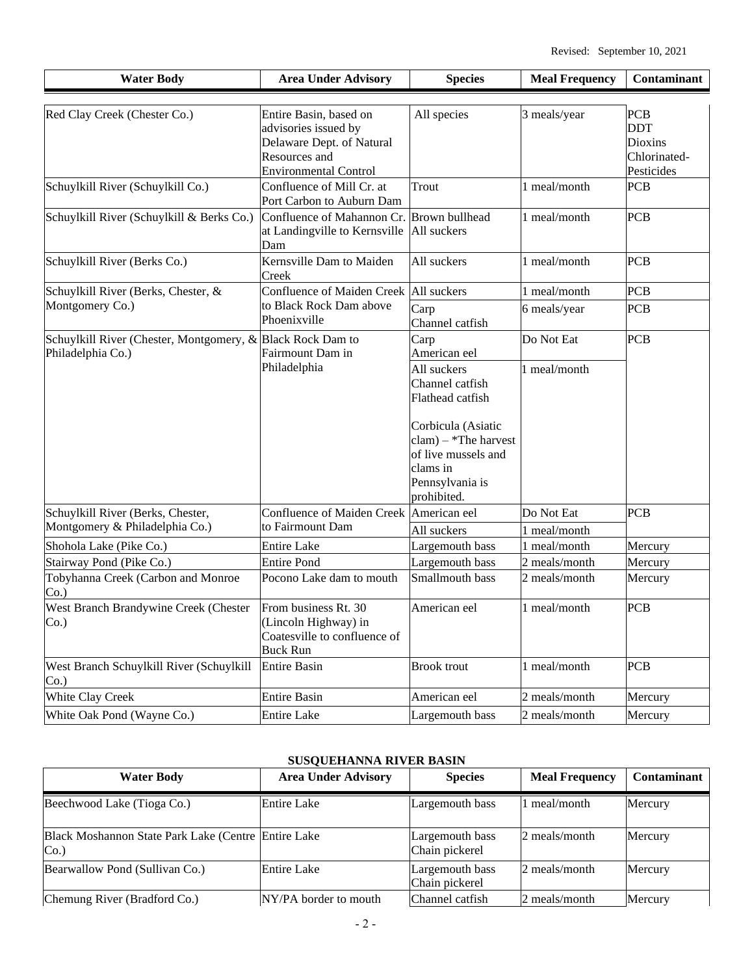| <b>Water Body</b>                                                               | <b>Area Under Advisory</b>                                                                      | <b>Species</b>                                                                                                   | <b>Meal Frequency</b> | Contaminant                                         |
|---------------------------------------------------------------------------------|-------------------------------------------------------------------------------------------------|------------------------------------------------------------------------------------------------------------------|-----------------------|-----------------------------------------------------|
| Red Clay Creek (Chester Co.)                                                    | Entire Basin, based on<br>advisories issued by<br>Delaware Dept. of Natural<br>Resources and    | All species                                                                                                      | 3 meals/year          | <b>PCB</b><br><b>DDT</b><br>Dioxins<br>Chlorinated- |
| Schuylkill River (Schuylkill Co.)                                               | <b>Environmental Control</b><br>Confluence of Mill Cr. at                                       | Trout                                                                                                            | 1 meal/month          | Pesticides<br><b>PCB</b>                            |
| Schuylkill River (Schuylkill & Berks Co.)                                       | Port Carbon to Auburn Dam<br>Confluence of Mahannon Cr.<br>at Landingville to Kernsville<br>Dam | Brown bullhead<br>All suckers                                                                                    | 1 meal/month          | <b>PCB</b>                                          |
| Schuylkill River (Berks Co.)                                                    | Kernsville Dam to Maiden<br>Creek                                                               | All suckers                                                                                                      | 1 meal/month          | <b>PCB</b>                                          |
| Schuylkill River (Berks, Chester, &                                             | <b>Confluence of Maiden Creek</b>                                                               | All suckers                                                                                                      | 1 meal/month          | <b>PCB</b>                                          |
| Montgomery Co.)                                                                 | to Black Rock Dam above<br>Phoenixville                                                         | Carp<br>Channel catfish                                                                                          | 6 meals/year          | <b>PCB</b>                                          |
| Schuylkill River (Chester, Montgomery, & Black Rock Dam to<br>Philadelphia Co.) | Fairmount Dam in                                                                                | Carp<br>American eel                                                                                             | Do Not Eat            | <b>PCB</b>                                          |
|                                                                                 | Philadelphia                                                                                    | All suckers<br>Channel catfish<br>Flathead catfish                                                               | I meal/month          |                                                     |
|                                                                                 |                                                                                                 | Corbicula (Asiatic<br>$clam$ – *The harvest<br>of live mussels and<br>clams in<br>Pennsylvania is<br>prohibited. |                       |                                                     |
| Schuylkill River (Berks, Chester,                                               | <b>Confluence of Maiden Creek</b>                                                               | American eel                                                                                                     | Do Not Eat            | <b>PCB</b>                                          |
| Montgomery & Philadelphia Co.)                                                  | to Fairmount Dam                                                                                | All suckers                                                                                                      | 1 meal/month          |                                                     |
| Shohola Lake (Pike Co.)                                                         | <b>Entire Lake</b>                                                                              | Largemouth bass                                                                                                  | 1 meal/month          | Mercury                                             |
| Stairway Pond (Pike Co.)                                                        | <b>Entire Pond</b>                                                                              | Largemouth bass                                                                                                  | 2 meals/month         | Mercury                                             |
| Tobyhanna Creek (Carbon and Monroe<br>Co.                                       | Pocono Lake dam to mouth                                                                        | Smallmouth bass                                                                                                  | 2 meals/month         | Mercury                                             |
| West Branch Brandywine Creek (Chester<br>Co.                                    | From business Rt. 30<br>(Lincoln Highway) in<br>Coatesville to confluence of<br><b>Buck Run</b> | American eel                                                                                                     | 1 meal/month          | PCB                                                 |
| West Branch Schuylkill River (Schuylkill<br>Co.                                 | <b>Entire Basin</b>                                                                             | <b>Brook</b> trout                                                                                               | 1 meal/month          | <b>PCB</b>                                          |
| White Clay Creek                                                                | <b>Entire Basin</b>                                                                             | American eel                                                                                                     | 2 meals/month         | Mercury                                             |
| White Oak Pond (Wayne Co.)                                                      | <b>Entire Lake</b>                                                                              | Largemouth bass                                                                                                  | 2 meals/month         | Mercury                                             |

# **SUSQUEHANNA RIVER BASIN**

| <b>Water Body</b>                                          | <b>Area Under Advisory</b> | <b>Species</b>                    | <b>Meal Frequency</b> | <b>Contaminant</b> |
|------------------------------------------------------------|----------------------------|-----------------------------------|-----------------------|--------------------|
| Beechwood Lake (Tioga Co.)                                 | Entire Lake                | Largemouth bass                   | 1 meal/month          | Mercury            |
| Black Moshannon State Park Lake (Centre Entire Lake<br>Co. |                            | Largemouth bass<br>Chain pickerel | 2 meals/month         | Mercury            |
| Bearwallow Pond (Sullivan Co.)                             | <b>Entire Lake</b>         | Largemouth bass<br>Chain pickerel | 2 meals/month         | Mercury            |
| Chemung River (Bradford Co.)                               | NY/PA border to mouth      | Channel catfish                   | 2 meals/month         | Mercury            |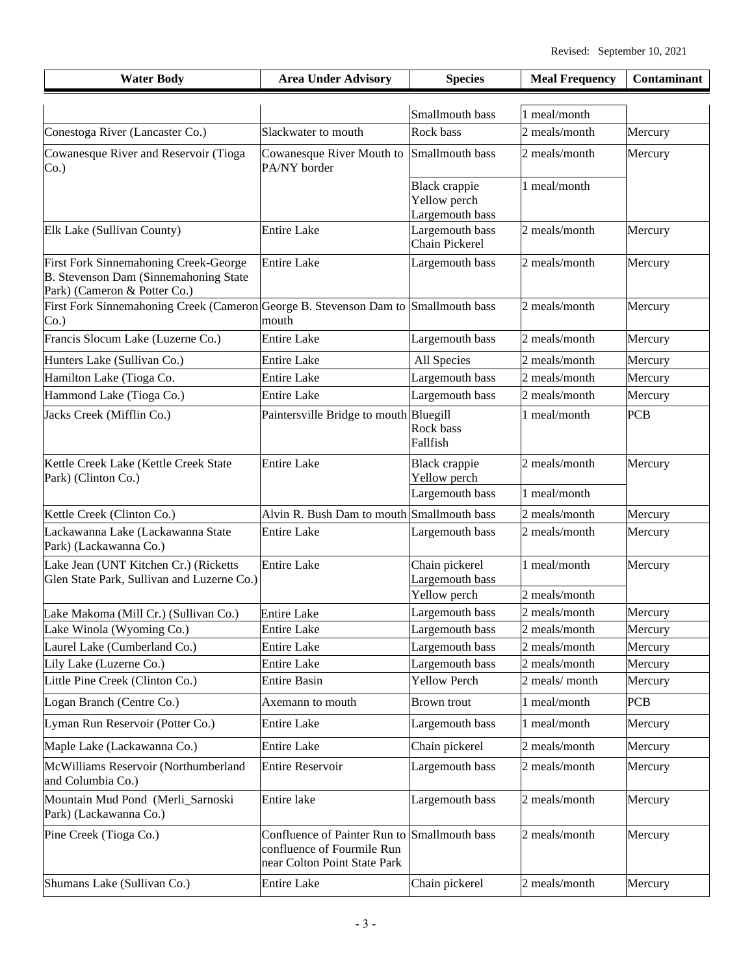| <b>Water Body</b>                                                                                              | <b>Area Under Advisory</b>                                                                                 | <b>Species</b>                                          | <b>Meal Frequency</b>         | Contaminant |
|----------------------------------------------------------------------------------------------------------------|------------------------------------------------------------------------------------------------------------|---------------------------------------------------------|-------------------------------|-------------|
|                                                                                                                |                                                                                                            | Smallmouth bass                                         | 1 meal/month                  |             |
| Conestoga River (Lancaster Co.)                                                                                | Slackwater to mouth                                                                                        | Rock bass                                               | 2 meals/month                 | Mercury     |
| Cowanesque River and Reservoir (Tioga<br>$Co.$ )                                                               | Cowanesque River Mouth to Smallmouth bass<br>PA/NY border                                                  |                                                         | 2 meals/month                 | Mercury     |
|                                                                                                                |                                                                                                            | <b>Black crappie</b><br>Yellow perch<br>Largemouth bass | 1 meal/month                  |             |
| Elk Lake (Sullivan County)                                                                                     | <b>Entire Lake</b>                                                                                         | Largemouth bass<br>Chain Pickerel                       | 2 meals/month                 | Mercury     |
| First Fork Sinnemahoning Creek-George<br>B. Stevenson Dam (Sinnemahoning State<br>Park) (Cameron & Potter Co.) | <b>Entire Lake</b>                                                                                         | Largemouth bass                                         | 2 meals/month                 | Mercury     |
| First Fork Sinnemahoning Creek (Cameron<br>$Co.$ )                                                             | George B. Stevenson Dam to Smallmouth bass<br>mouth                                                        |                                                         | 2 meals/month                 | Mercury     |
| Francis Slocum Lake (Luzerne Co.)                                                                              | <b>Entire Lake</b>                                                                                         | Largemouth bass                                         | 2 meals/month                 | Mercury     |
| Hunters Lake (Sullivan Co.)                                                                                    | <b>Entire Lake</b>                                                                                         | All Species                                             | 2 meals/month                 | Mercury     |
| Hamilton Lake (Tioga Co.                                                                                       | <b>Entire Lake</b>                                                                                         | Largemouth bass                                         | 2 meals/month                 | Mercury     |
| Hammond Lake (Tioga Co.)                                                                                       | <b>Entire Lake</b>                                                                                         | Largemouth bass                                         | 2 meals/month                 | Mercury     |
| Jacks Creek (Mifflin Co.)                                                                                      | Paintersville Bridge to mouth Bluegill                                                                     | Rock bass<br>Fallfish                                   | 1 meal/month                  | <b>PCB</b>  |
| Kettle Creek Lake (Kettle Creek State<br>Park) (Clinton Co.)                                                   | <b>Entire Lake</b>                                                                                         | <b>Black</b> crappie<br>Yellow perch                    | 2 meals/month                 | Mercury     |
|                                                                                                                |                                                                                                            | Largemouth bass                                         | 1 meal/month                  |             |
| Kettle Creek (Clinton Co.)                                                                                     | Alvin R. Bush Dam to mouth Smallmouth bass                                                                 |                                                         | 2 meals/month                 | Mercury     |
| Lackawanna Lake (Lackawanna State<br>Park) (Lackawanna Co.)                                                    | <b>Entire Lake</b>                                                                                         | Largemouth bass                                         | 2 meals/month                 | Mercury     |
| Lake Jean (UNT Kitchen Cr.) (Ricketts<br>Glen State Park, Sullivan and Luzerne Co.)                            | <b>Entire Lake</b>                                                                                         | Chain pickerel<br>Largemouth bass<br>Yellow perch       | 1 meal/month<br>2 meals/month | Mercury     |
| Lake Makoma (Mill Cr.) (Sullivan Co.)                                                                          | <b>Entire Lake</b>                                                                                         | Largemouth bass                                         | 2 meals/month                 | Mercury     |
| Lake Winola (Wyoming Co.)                                                                                      | <b>Entire Lake</b>                                                                                         | Largemouth bass                                         | 2 meals/month                 | Mercury     |
| Laurel Lake (Cumberland Co.)                                                                                   | <b>Entire Lake</b>                                                                                         | Largemouth bass                                         | 2 meals/month                 | Mercury     |
| Lily Lake (Luzerne Co.)                                                                                        | <b>Entire Lake</b>                                                                                         | Largemouth bass                                         | 2 meals/month                 | Mercury     |
| Little Pine Creek (Clinton Co.)                                                                                | <b>Entire Basin</b>                                                                                        | <b>Yellow Perch</b>                                     | 2 meals/month                 | Mercury     |
| Logan Branch (Centre Co.)                                                                                      | Axemann to mouth                                                                                           | <b>Brown</b> trout                                      | 1 meal/month                  | <b>PCB</b>  |
| Lyman Run Reservoir (Potter Co.)                                                                               | <b>Entire Lake</b>                                                                                         | Largemouth bass                                         | 1 meal/month                  | Mercury     |
| Maple Lake (Lackawanna Co.)                                                                                    | <b>Entire Lake</b>                                                                                         | Chain pickerel                                          | 2 meals/month                 | Mercury     |
| McWilliams Reservoir (Northumberland<br>and Columbia Co.)                                                      | <b>Entire Reservoir</b>                                                                                    | Largemouth bass                                         | 2 meals/month                 | Mercury     |
| Mountain Mud Pond (Merli_Sarnoski<br>Park) (Lackawanna Co.)                                                    | Entire lake                                                                                                | Largemouth bass                                         | 2 meals/month                 | Mercury     |
| Pine Creek (Tioga Co.)                                                                                         | Confluence of Painter Run to Smallmouth bass<br>confluence of Fourmile Run<br>near Colton Point State Park |                                                         | 2 meals/month                 | Mercury     |
| Shumans Lake (Sullivan Co.)                                                                                    | <b>Entire Lake</b>                                                                                         | Chain pickerel                                          | 2 meals/month                 | Mercury     |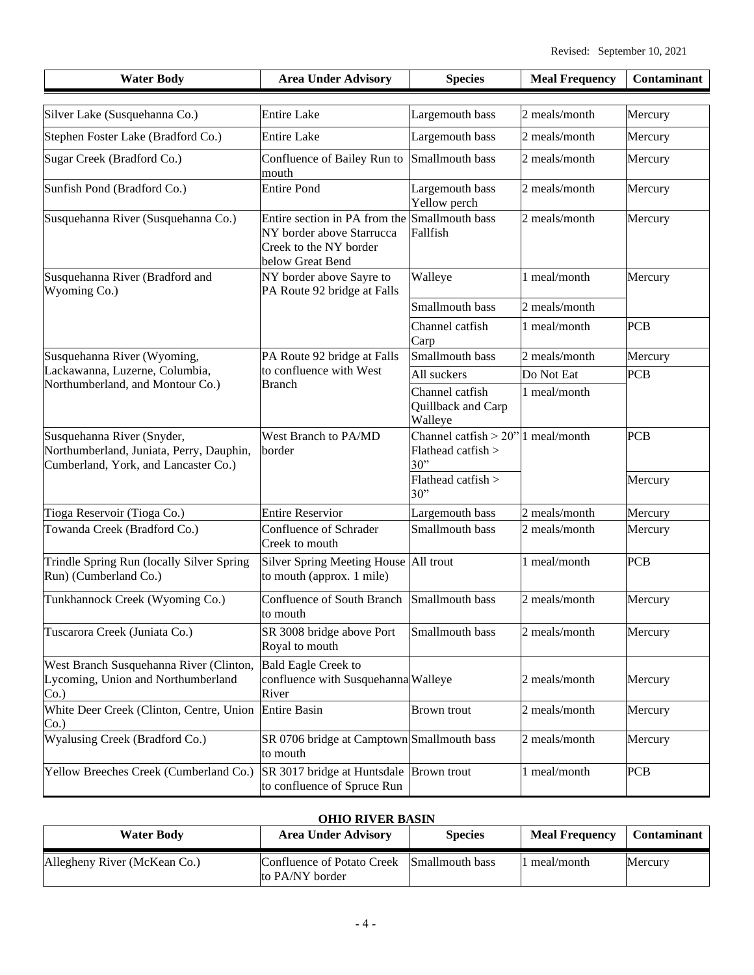| <b>Water Body</b>                                                                                              | <b>Area Under Advisory</b>                                                                                               | <b>Species</b>                                                     | <b>Meal Frequency</b> | Contaminant |
|----------------------------------------------------------------------------------------------------------------|--------------------------------------------------------------------------------------------------------------------------|--------------------------------------------------------------------|-----------------------|-------------|
|                                                                                                                |                                                                                                                          |                                                                    |                       |             |
| Silver Lake (Susquehanna Co.)                                                                                  | <b>Entire Lake</b>                                                                                                       | Largemouth bass                                                    | 2 meals/month         | Mercury     |
| Stephen Foster Lake (Bradford Co.)                                                                             | <b>Entire Lake</b>                                                                                                       | Largemouth bass                                                    | 2 meals/month         | Mercury     |
| Sugar Creek (Bradford Co.)                                                                                     | Confluence of Bailey Run to<br>mouth                                                                                     | Smallmouth bass                                                    | 2 meals/month         | Mercury     |
| Sunfish Pond (Bradford Co.)                                                                                    | <b>Entire Pond</b>                                                                                                       | Largemouth bass<br>Yellow perch                                    | 2 meals/month         | Mercury     |
| Susquehanna River (Susquehanna Co.)                                                                            | Entire section in PA from the Smallmouth bass<br>NY border above Starrucca<br>Creek to the NY border<br>below Great Bend | Fallfish                                                           | 2 meals/month         | Mercury     |
| Susquehanna River (Bradford and<br>Wyoming Co.)                                                                | NY border above Sayre to<br>PA Route 92 bridge at Falls                                                                  | Walleye                                                            | 1 meal/month          | Mercury     |
|                                                                                                                |                                                                                                                          | Smallmouth bass                                                    | 2 meals/month         |             |
|                                                                                                                |                                                                                                                          | Channel catfish<br>Carp                                            | 1 meal/month          | <b>PCB</b>  |
| Susquehanna River (Wyoming,                                                                                    | PA Route 92 bridge at Falls                                                                                              | Smallmouth bass                                                    | 2 meals/month         | Mercury     |
| Lackawanna, Luzerne, Columbia,                                                                                 | to confluence with West                                                                                                  | All suckers                                                        | Do Not Eat            | PCB         |
| Northumberland, and Montour Co.)                                                                               | <b>Branch</b>                                                                                                            | Channel catfish<br>Quillback and Carp<br>Walleye                   | 1 meal/month          |             |
| Susquehanna River (Snyder,<br>Northumberland, Juniata, Perry, Dauphin,<br>Cumberland, York, and Lancaster Co.) | West Branch to PA/MD<br>border                                                                                           | Channel catfish $> 20$ " 1 meal/month<br>Flathead catfish ><br>30" |                       | <b>PCB</b>  |
|                                                                                                                |                                                                                                                          | Flathead catfish ><br>30"                                          |                       | Mercury     |
| Tioga Reservoir (Tioga Co.)                                                                                    | <b>Entire Reservior</b>                                                                                                  | Largemouth bass                                                    | 2 meals/month         | Mercury     |
| Towanda Creek (Bradford Co.)                                                                                   | Confluence of Schrader<br>Creek to mouth                                                                                 | Smallmouth bass                                                    | 2 meals/month         | Mercury     |
| Trindle Spring Run (locally Silver Spring<br>Run) (Cumberland Co.)                                             | Silver Spring Meeting House All trout<br>to mouth (approx. 1 mile)                                                       |                                                                    | 1 meal/month          | <b>PCB</b>  |
| Tunkhannock Creek (Wyoming Co.)                                                                                | <b>Confluence of South Branch</b><br>to mouth                                                                            | Smallmouth bass                                                    | 2 meals/month         | Mercury     |
| Tuscarora Creek (Juniata Co.)                                                                                  | SR 3008 bridge above Port<br>Royal to mouth                                                                              | Smallmouth bass                                                    | 2 meals/month         | Mercury     |
| West Branch Susquehanna River (Clinton,<br>Lycoming, Union and Northumberland<br>Co.                           | <b>Bald Eagle Creek to</b><br>confluence with Susquehanna Walleye<br>River                                               |                                                                    | 2 meals/month         | Mercury     |
| White Deer Creek (Clinton, Centre, Union<br>Co.                                                                | <b>Entire Basin</b>                                                                                                      | <b>Brown</b> trout                                                 | 2 meals/month         | Mercury     |
| Wyalusing Creek (Bradford Co.)                                                                                 | SR 0706 bridge at Camptown Smallmouth bass<br>to mouth                                                                   |                                                                    | 2 meals/month         | Mercury     |
| Yellow Breeches Creek (Cumberland Co.)                                                                         | SR 3017 bridge at Huntsdale Brown trout<br>to confluence of Spruce Run                                                   |                                                                    | 1 meal/month          | <b>PCB</b>  |

### **OHIO RIVER BASIN**

| <b>Water Body</b>            | <b>Area Under Advisory</b>                    | <b>Species</b>  | <b>Meal Frequency</b> | <b>Contaminant</b> |
|------------------------------|-----------------------------------------------|-----------------|-----------------------|--------------------|
| Allegheny River (McKean Co.) | Confluence of Potato Creek<br>to PA/NY border | Smallmouth bass | meal/month            | Mercury            |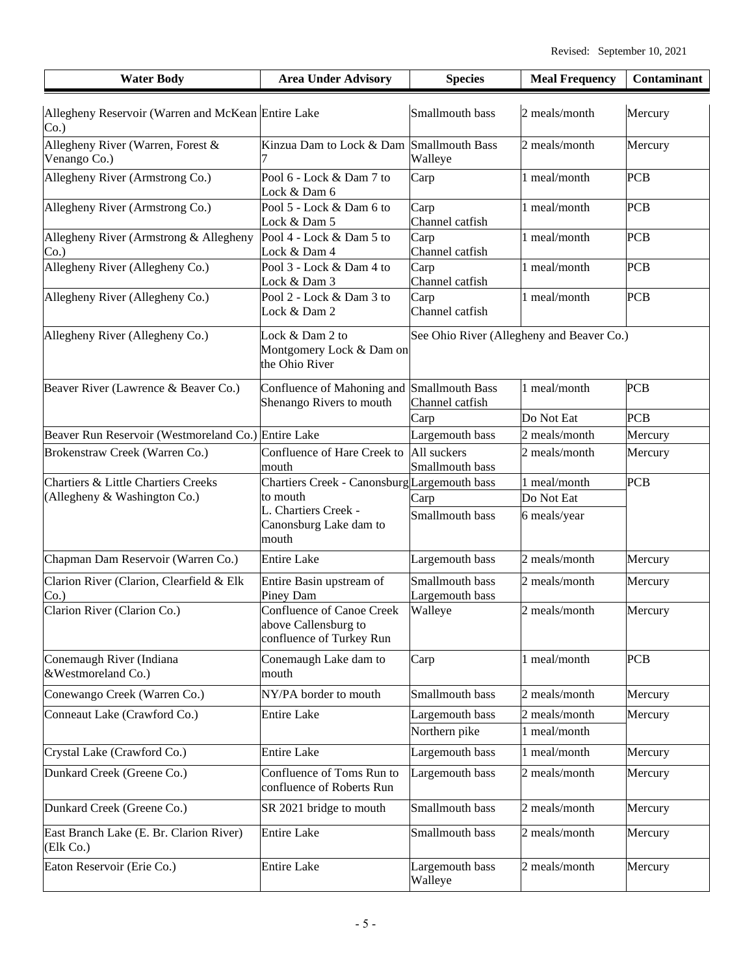| <b>Water Body</b>                                         | <b>Area Under Advisory</b>                                                           | <b>Species</b>                            | <b>Meal Frequency</b> | Contaminant |
|-----------------------------------------------------------|--------------------------------------------------------------------------------------|-------------------------------------------|-----------------------|-------------|
| Allegheny Reservoir (Warren and McKean Entire Lake<br>Co. |                                                                                      | Smallmouth bass                           | 2 meals/month         | Mercury     |
| Allegheny River (Warren, Forest &<br>Venango Co.)         | Kinzua Dam to Lock & Dam Smallmouth Bass                                             | Walleye                                   | 2 meals/month         | Mercury     |
| Allegheny River (Armstrong Co.)                           | Pool 6 - Lock & Dam 7 to<br>Lock & Dam 6                                             | Carp                                      | 1 meal/month          | <b>PCB</b>  |
| Allegheny River (Armstrong Co.)                           | Pool 5 - Lock & Dam 6 to<br>Lock & Dam 5                                             | Carp<br>Channel catfish                   | 1 meal/month          | <b>PCB</b>  |
| Allegheny River (Armstrong & Allegheny<br>Co.             | Pool 4 - Lock & Dam 5 to<br>Lock & Dam 4                                             | Carp<br>Channel catfish                   | 1 meal/month          | <b>PCB</b>  |
| Allegheny River (Allegheny Co.)                           | Pool 3 - Lock & Dam 4 to<br>Lock & Dam 3                                             | Carp<br>Channel catfish                   | 1 meal/month          | <b>PCB</b>  |
| Allegheny River (Allegheny Co.)                           | Pool 2 - Lock & Dam 3 to<br>Lock & Dam 2                                             | Carp<br>Channel catfish                   | 1 meal/month          | <b>PCB</b>  |
| Allegheny River (Allegheny Co.)                           | Lock & Dam 2 to<br>Montgomery Lock & Dam on<br>the Ohio River                        | See Ohio River (Allegheny and Beaver Co.) |                       |             |
| Beaver River (Lawrence & Beaver Co.)                      | Confluence of Mahoning and Smallmouth Bass<br>Shenango Rivers to mouth               | Channel catfish                           | 1 meal/month          | PCB         |
|                                                           |                                                                                      | Carp                                      | Do Not Eat            | <b>PCB</b>  |
| Beaver Run Reservoir (Westmoreland Co.) Entire Lake       |                                                                                      | Largemouth bass                           | 2 meals/month         | Mercury     |
| Brokenstraw Creek (Warren Co.)                            | Confluence of Hare Creek to<br>mouth                                                 | All suckers<br>Smallmouth bass            | 2 meals/month         | Mercury     |
| <b>Chartiers &amp; Little Chartiers Creeks</b>            | Chartiers Creek - Canonsburg Largemouth bass                                         |                                           | 1 meal/month          | <b>PCB</b>  |
| (Allegheny & Washington Co.)                              | to mouth                                                                             | Carp                                      | Do Not Eat            |             |
|                                                           | L. Chartiers Creek -<br>Canonsburg Lake dam to<br>mouth                              | Smallmouth bass                           | 6 meals/year          |             |
| Chapman Dam Reservoir (Warren Co.)                        | <b>Entire Lake</b>                                                                   | Largemouth bass                           | 2 meals/month         | Mercury     |
| Clarion River (Clarion, Clearfield & Elk<br>Co.           | Entire Basin upstream of<br>Piney Dam                                                | Smallmouth bass<br>Largemouth bass        | 2 meals/month         | Mercury     |
| Clarion River (Clarion Co.)                               | <b>Confluence of Canoe Creek</b><br>above Callensburg to<br>confluence of Turkey Run | Walleye                                   | 2 meals/month         | Mercury     |
| Conemaugh River (Indiana<br>&Westmoreland Co.)            | Conemaugh Lake dam to<br>mouth                                                       | Carp                                      | 1 meal/month          | <b>PCB</b>  |
| Conewango Creek (Warren Co.)                              | NY/PA border to mouth                                                                | Smallmouth bass                           | 2 meals/month         | Mercury     |
| Conneaut Lake (Crawford Co.)                              | <b>Entire Lake</b>                                                                   | Largemouth bass                           | 2 meals/month         | Mercury     |
|                                                           |                                                                                      | Northern pike                             | 1 meal/month          |             |
| Crystal Lake (Crawford Co.)                               | <b>Entire Lake</b>                                                                   | Largemouth bass                           | 1 meal/month          | Mercury     |
| Dunkard Creek (Greene Co.)                                | Confluence of Toms Run to<br>confluence of Roberts Run                               | Largemouth bass                           | 2 meals/month         | Mercury     |
| Dunkard Creek (Greene Co.)                                | SR 2021 bridge to mouth                                                              | Smallmouth bass                           | 2 meals/month         | Mercury     |
| East Branch Lake (E. Br. Clarion River)<br>(Elk Co.)      | <b>Entire Lake</b>                                                                   | Smallmouth bass                           | 2 meals/month         | Mercury     |
| Eaton Reservoir (Erie Co.)                                | <b>Entire Lake</b>                                                                   | Largemouth bass<br>Walleye                | 2 meals/month         | Mercury     |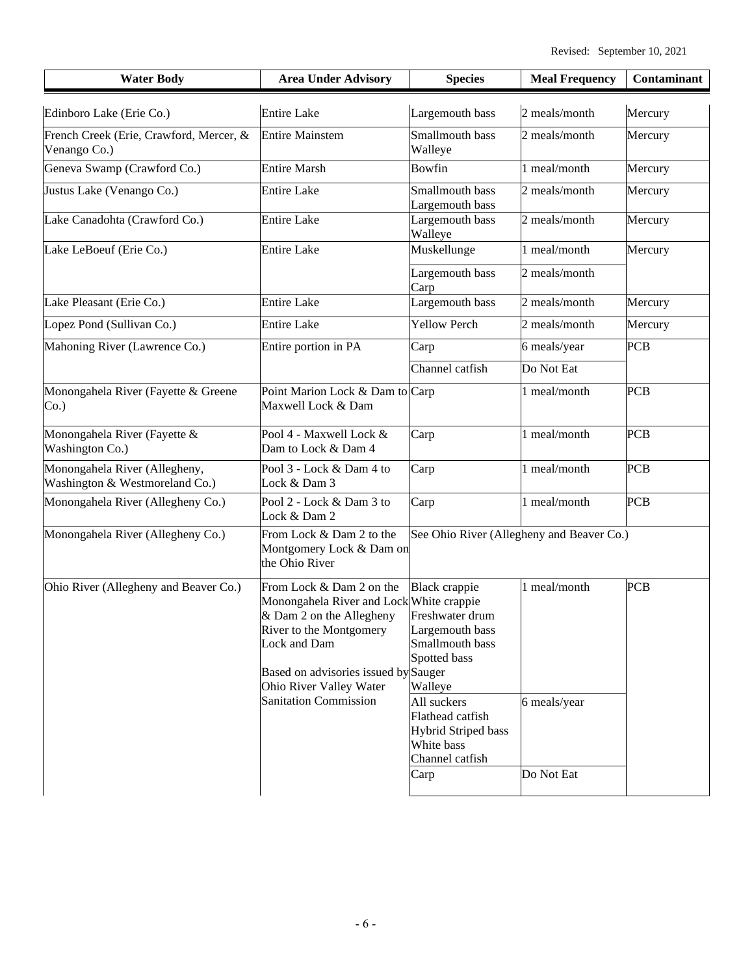| <b>Entire Lake</b><br>Edinboro Lake (Erie Co.)<br>Largemouth bass<br>2 meals/month<br>French Creek (Erie, Crawford, Mercer, &<br>Smallmouth bass<br><b>Entire Mainstem</b><br>2 meals/month<br>Venango Co.)<br>Walleye<br>Geneva Swamp (Crawford Co.)<br><b>Entire Marsh</b><br>Bowfin<br>1 meal/month<br>Justus Lake (Venango Co.)<br>Smallmouth bass<br><b>Entire Lake</b><br>2 meals/month<br>Largemouth bass<br>Lake Canadohta (Crawford Co.)<br>Largemouth bass<br>2 meals/month<br><b>Entire Lake</b><br>Walleye             | Mercury    |
|------------------------------------------------------------------------------------------------------------------------------------------------------------------------------------------------------------------------------------------------------------------------------------------------------------------------------------------------------------------------------------------------------------------------------------------------------------------------------------------------------------------------------------|------------|
|                                                                                                                                                                                                                                                                                                                                                                                                                                                                                                                                    |            |
|                                                                                                                                                                                                                                                                                                                                                                                                                                                                                                                                    | Mercury    |
|                                                                                                                                                                                                                                                                                                                                                                                                                                                                                                                                    | Mercury    |
|                                                                                                                                                                                                                                                                                                                                                                                                                                                                                                                                    | Mercury    |
|                                                                                                                                                                                                                                                                                                                                                                                                                                                                                                                                    | Mercury    |
| Lake LeBoeuf (Erie Co.)<br><b>Entire Lake</b><br>Muskellunge<br>1 meal/month                                                                                                                                                                                                                                                                                                                                                                                                                                                       | Mercury    |
| Largemouth bass<br>2 meals/month<br>Carp                                                                                                                                                                                                                                                                                                                                                                                                                                                                                           |            |
| Largemouth bass<br>Lake Pleasant (Erie Co.)<br><b>Entire Lake</b><br>2 meals/month                                                                                                                                                                                                                                                                                                                                                                                                                                                 | Mercury    |
| <b>Yellow Perch</b><br>Lopez Pond (Sullivan Co.)<br><b>Entire Lake</b><br>2 meals/month                                                                                                                                                                                                                                                                                                                                                                                                                                            | Mercury    |
| Mahoning River (Lawrence Co.)<br>Entire portion in PA<br>6 meals/year<br>Carp                                                                                                                                                                                                                                                                                                                                                                                                                                                      | <b>PCB</b> |
| Channel catfish<br>Do Not Eat                                                                                                                                                                                                                                                                                                                                                                                                                                                                                                      |            |
| Point Marion Lock & Dam to Carp<br>Monongahela River (Fayette & Greene<br>1 meal/month<br>Maxwell Lock & Dam<br>Co.                                                                                                                                                                                                                                                                                                                                                                                                                | <b>PCB</b> |
| Pool 4 - Maxwell Lock &<br>Monongahela River (Fayette &<br>1 meal/month<br>Carp<br><b>Washington Co.)</b><br>Dam to Lock & Dam 4                                                                                                                                                                                                                                                                                                                                                                                                   | <b>PCB</b> |
| Monongahela River (Allegheny,<br>1 meal/month<br>Pool 3 - Lock & Dam 4 to<br>Carp<br>Washington & Westmoreland Co.)<br>Lock & Dam 3                                                                                                                                                                                                                                                                                                                                                                                                | <b>PCB</b> |
| Monongahela River (Allegheny Co.)<br>Pool 2 - Lock & Dam 3 to<br>1 meal/month<br>Carp<br>Lock & Dam 2                                                                                                                                                                                                                                                                                                                                                                                                                              | <b>PCB</b> |
| See Ohio River (Allegheny and Beaver Co.)<br>Monongahela River (Allegheny Co.)<br>From Lock & Dam 2 to the<br>Montgomery Lock & Dam on<br>the Ohio River                                                                                                                                                                                                                                                                                                                                                                           |            |
| 1 meal/month<br>Ohio River (Allegheny and Beaver Co.)<br><b>Black</b> crappie<br>From Lock & Dam 2 on the<br>Monongahela River and Lock White crappie<br>& Dam 2 on the Allegheny Freshwater drum<br>River to the Montgomery<br>Largemouth bass<br>Smallmouth bass<br>Lock and Dam<br>Spotted bass<br>Based on advisories issued by Sauger<br>Ohio River Valley Water<br>Walleye<br><b>Sanitation Commission</b><br>All suckers<br>6 meals/year<br>Flathead catfish<br><b>Hybrid Striped bass</b><br>White bass<br>Channel catfish | <b>PCB</b> |
| Do Not Eat<br>Carp                                                                                                                                                                                                                                                                                                                                                                                                                                                                                                                 |            |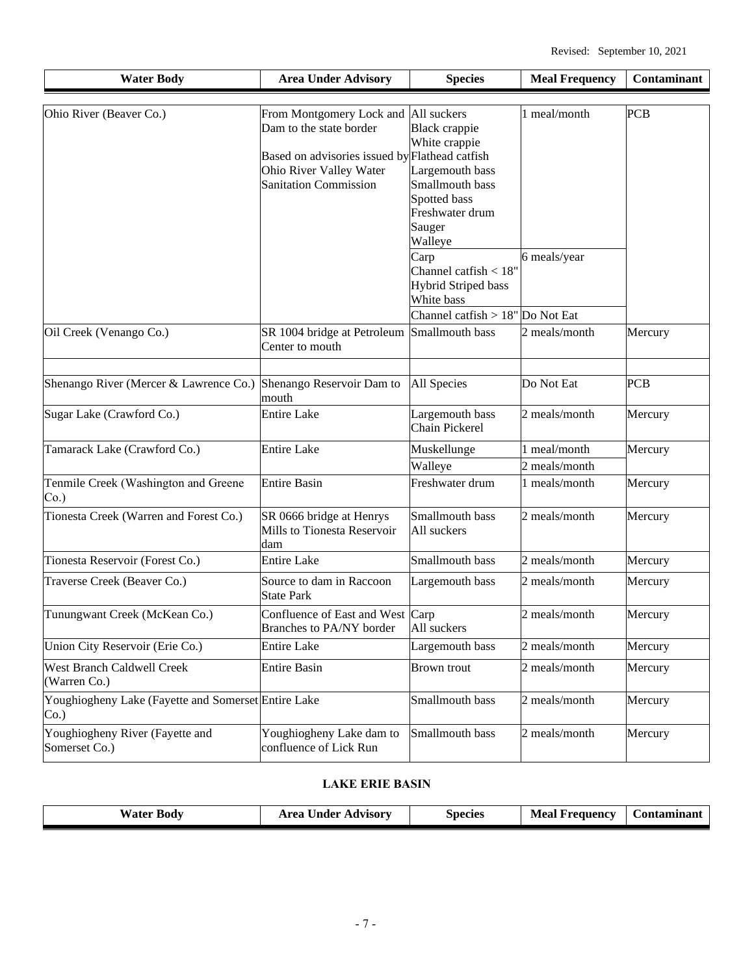| <b>Water Body</b>                                              | <b>Area Under Advisory</b>                                                                                                                                                   | <b>Species</b>                                                                                                                      | <b>Meal Frequency</b>         | Contaminant |
|----------------------------------------------------------------|------------------------------------------------------------------------------------------------------------------------------------------------------------------------------|-------------------------------------------------------------------------------------------------------------------------------------|-------------------------------|-------------|
| Ohio River (Beaver Co.)                                        | From Montgomery Lock and All suckers<br>Dam to the state border<br>Based on advisories issued by Flathead catfish<br>Ohio River Valley Water<br><b>Sanitation Commission</b> | <b>Black crappie</b><br>White crappie<br>Largemouth bass<br>Smallmouth bass<br>Spotted bass<br>Freshwater drum<br>Sauger<br>Walleye | 1 meal/month                  | <b>PCB</b>  |
|                                                                |                                                                                                                                                                              | Carp<br>Channel catfish $< 18"$<br><b>Hybrid Striped bass</b><br>White bass<br>Channel catfish $> 18"$ Do Not Eat                   | 6 meals/year                  |             |
| Oil Creek (Venango Co.)                                        | SR 1004 bridge at Petroleum<br>Center to mouth                                                                                                                               | Smallmouth bass                                                                                                                     | 2 meals/month                 | Mercury     |
| Shenango River (Mercer & Lawrence Co.)                         | Shenango Reservoir Dam to<br>mouth                                                                                                                                           | All Species                                                                                                                         | Do Not Eat                    | <b>PCB</b>  |
| Sugar Lake (Crawford Co.)                                      | <b>Entire Lake</b>                                                                                                                                                           | Largemouth bass<br><b>Chain Pickerel</b>                                                                                            | 2 meals/month                 | Mercury     |
| Tamarack Lake (Crawford Co.)                                   | <b>Entire Lake</b>                                                                                                                                                           | Muskellunge<br>Walleye                                                                                                              | 1 meal/month<br>2 meals/month | Mercury     |
| Tenmile Creek (Washington and Greene<br>$Co.$ )                | <b>Entire Basin</b>                                                                                                                                                          | Freshwater drum                                                                                                                     | 1 meals/month                 | Mercury     |
| Tionesta Creek (Warren and Forest Co.)                         | SR 0666 bridge at Henrys<br>Mills to Tionesta Reservoir<br>dam                                                                                                               | Smallmouth bass<br>All suckers                                                                                                      | 2 meals/month                 | Mercury     |
| Tionesta Reservoir (Forest Co.)                                | <b>Entire Lake</b>                                                                                                                                                           | Smallmouth bass                                                                                                                     | 2 meals/month                 | Mercury     |
| Traverse Creek (Beaver Co.)                                    | Source to dam in Raccoon<br><b>State Park</b>                                                                                                                                | Largemouth bass                                                                                                                     | 2 meals/month                 | Mercury     |
| Tunungwant Creek (McKean Co.)                                  | Confluence of East and West Carp<br><b>Branches to PA/NY border</b>                                                                                                          | All suckers                                                                                                                         | 2 meals/month                 | Mercury     |
| Union City Reservoir (Erie Co.)                                | <b>Entire Lake</b>                                                                                                                                                           | Largemouth bass                                                                                                                     | 2 meals/month                 | Mercury     |
| <b>West Branch Caldwell Creek</b><br>(Warren Co.)              | <b>Entire Basin</b>                                                                                                                                                          | <b>Brown</b> trout                                                                                                                  | 2 meals/month                 | Mercury     |
| Youghiogheny Lake (Fayette and Somerset Entire Lake<br>$Co.$ ) |                                                                                                                                                                              | Smallmouth bass                                                                                                                     | 2 meals/month                 | Mercury     |
| Youghiogheny River (Fayette and<br>Somerset Co.)               | Youghiogheny Lake dam to<br>confluence of Lick Run                                                                                                                           | Smallmouth bass                                                                                                                     | 2 meals/month                 | Mercury     |

### **LAKE ERIE BASIN**

|  | Water <b>D</b><br>Body | Area Under Advisory | <b>Species</b> | Meal<br>Frequency | Contaminant |
|--|------------------------|---------------------|----------------|-------------------|-------------|
|--|------------------------|---------------------|----------------|-------------------|-------------|